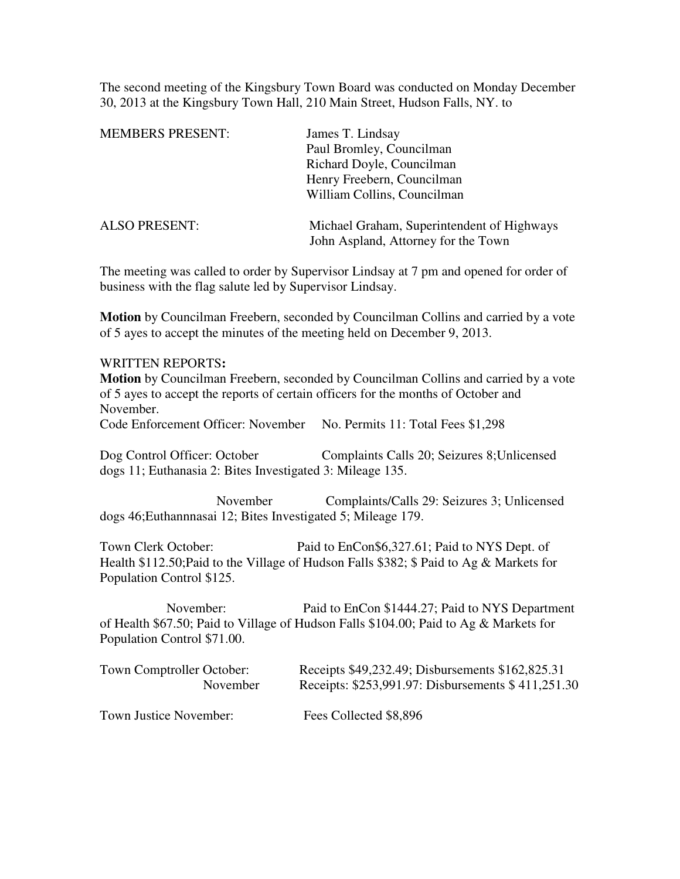The second meeting of the Kingsbury Town Board was conducted on Monday December 30, 2013 at the Kingsbury Town Hall, 210 Main Street, Hudson Falls, NY. to

| <b>MEMBERS PRESENT:</b> | James T. Lindsay                                                                  |
|-------------------------|-----------------------------------------------------------------------------------|
|                         | Paul Bromley, Councilman                                                          |
|                         | Richard Doyle, Councilman                                                         |
|                         | Henry Freebern, Councilman                                                        |
|                         | William Collins, Councilman                                                       |
| <b>ALSO PRESENT:</b>    | Michael Graham, Superintendent of Highways<br>John Aspland, Attorney for the Town |

The meeting was called to order by Supervisor Lindsay at 7 pm and opened for order of business with the flag salute led by Supervisor Lindsay.

**Motion** by Councilman Freebern, seconded by Councilman Collins and carried by a vote of 5 ayes to accept the minutes of the meeting held on December 9, 2013.

## WRITTEN REPORTS**:**

**Motion** by Councilman Freebern, seconded by Councilman Collins and carried by a vote of 5 ayes to accept the reports of certain officers for the months of October and November.

Code Enforcement Officer: November No. Permits 11: Total Fees \$1,298

Dog Control Officer: October Complaints Calls 20; Seizures 8;Unlicensed dogs 11; Euthanasia 2: Bites Investigated 3: Mileage 135.

 November Complaints/Calls 29: Seizures 3; Unlicensed dogs 46;Euthannnasai 12; Bites Investigated 5; Mileage 179.

Town Clerk October: Paid to EnCon\$6,327.61; Paid to NYS Dept. of Health \$112.50;Paid to the Village of Hudson Falls \$382; \$ Paid to Ag & Markets for Population Control \$125.

 November: Paid to EnCon \$1444.27; Paid to NYS Department of Health \$67.50; Paid to Village of Hudson Falls \$104.00; Paid to Ag & Markets for Population Control \$71.00.

| Town Comptroller October: | Receipts \$49,232.49; Disbursements \$162,825.31   |
|---------------------------|----------------------------------------------------|
| November                  | Receipts: \$253,991.97: Disbursements \$411,251.30 |
| Town Justice November:    | Fees Collected \$8,896                             |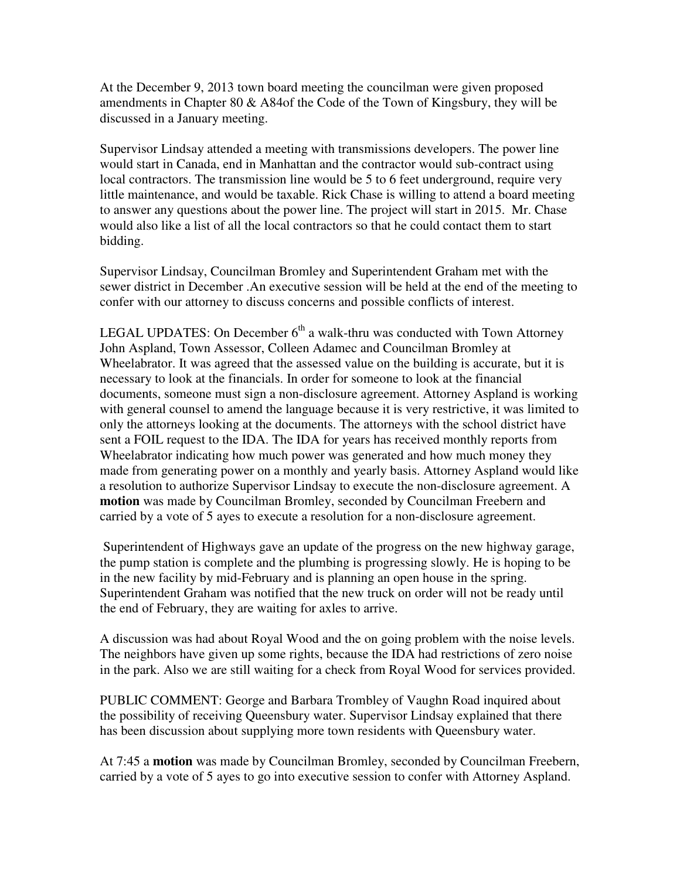At the December 9, 2013 town board meeting the councilman were given proposed amendments in Chapter 80 & A84of the Code of the Town of Kingsbury, they will be discussed in a January meeting.

Supervisor Lindsay attended a meeting with transmissions developers. The power line would start in Canada, end in Manhattan and the contractor would sub-contract using local contractors. The transmission line would be 5 to 6 feet underground, require very little maintenance, and would be taxable. Rick Chase is willing to attend a board meeting to answer any questions about the power line. The project will start in 2015. Mr. Chase would also like a list of all the local contractors so that he could contact them to start bidding.

Supervisor Lindsay, Councilman Bromley and Superintendent Graham met with the sewer district in December .An executive session will be held at the end of the meeting to confer with our attorney to discuss concerns and possible conflicts of interest.

LEGAL UPDATES: On December  $6<sup>th</sup>$  a walk-thru was conducted with Town Attorney John Aspland, Town Assessor, Colleen Adamec and Councilman Bromley at Wheelabrator. It was agreed that the assessed value on the building is accurate, but it is necessary to look at the financials. In order for someone to look at the financial documents, someone must sign a non-disclosure agreement. Attorney Aspland is working with general counsel to amend the language because it is very restrictive, it was limited to only the attorneys looking at the documents. The attorneys with the school district have sent a FOIL request to the IDA. The IDA for years has received monthly reports from Wheelabrator indicating how much power was generated and how much money they made from generating power on a monthly and yearly basis. Attorney Aspland would like a resolution to authorize Supervisor Lindsay to execute the non-disclosure agreement. A **motion** was made by Councilman Bromley, seconded by Councilman Freebern and carried by a vote of 5 ayes to execute a resolution for a non-disclosure agreement.

 Superintendent of Highways gave an update of the progress on the new highway garage, the pump station is complete and the plumbing is progressing slowly. He is hoping to be in the new facility by mid-February and is planning an open house in the spring. Superintendent Graham was notified that the new truck on order will not be ready until the end of February, they are waiting for axles to arrive.

A discussion was had about Royal Wood and the on going problem with the noise levels. The neighbors have given up some rights, because the IDA had restrictions of zero noise in the park. Also we are still waiting for a check from Royal Wood for services provided.

PUBLIC COMMENT: George and Barbara Trombley of Vaughn Road inquired about the possibility of receiving Queensbury water. Supervisor Lindsay explained that there has been discussion about supplying more town residents with Queensbury water.

At 7:45 a **motion** was made by Councilman Bromley, seconded by Councilman Freebern, carried by a vote of 5 ayes to go into executive session to confer with Attorney Aspland.